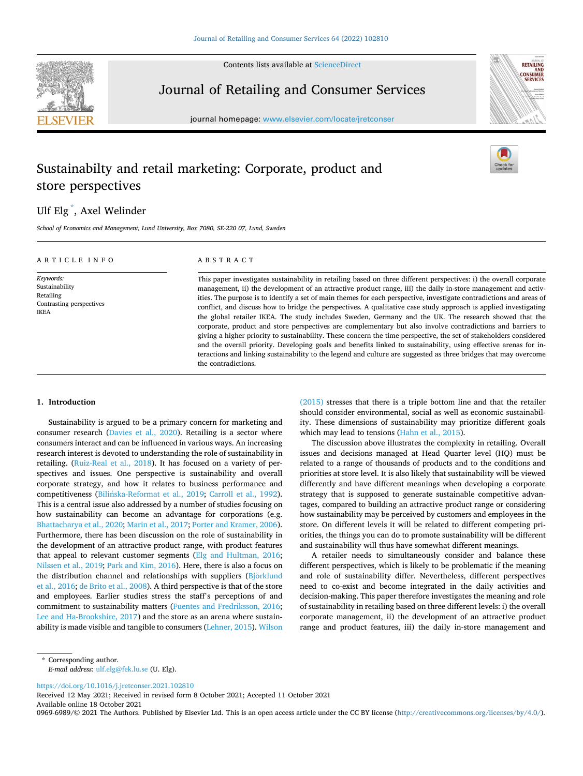Contents lists available at [ScienceDirect](www.sciencedirect.com/science/journal/09696989)



**RETAILING CONSUMER** 

# Journal of Retailing and Consumer Services

journal homepage: [www.elsevier.com/locate/jretconser](https://www.elsevier.com/locate/jretconser)

# Sustainabilty and retail marketing: Corporate, product and store perspectives

# Ulf Elg \* , Axel Welinder

*School of Economics and Management, Lund University, Box 7080, SE-220 07, Lund, Sweden* 

| ARTICLE INFO                                                                        | ABSTRACT                                                                                                                                                                                                                                                                                                                                                                                                                                                                                                                                                                                                                                                                                                                                                                                                                                                                                                                                                                                                                                                                                      |
|-------------------------------------------------------------------------------------|-----------------------------------------------------------------------------------------------------------------------------------------------------------------------------------------------------------------------------------------------------------------------------------------------------------------------------------------------------------------------------------------------------------------------------------------------------------------------------------------------------------------------------------------------------------------------------------------------------------------------------------------------------------------------------------------------------------------------------------------------------------------------------------------------------------------------------------------------------------------------------------------------------------------------------------------------------------------------------------------------------------------------------------------------------------------------------------------------|
| Keywords:<br>Sustainability<br>Retailing<br>Contrasting perspectives<br><b>IKEA</b> | This paper investigates sustainability in retailing based on three different perspectives: i) the overall corporate<br>management, ii) the development of an attractive product range, iii) the daily in-store management and activ-<br>ities. The purpose is to identify a set of main themes for each perspective, investigate contradictions and areas of<br>conflict, and discuss how to bridge the perspectives. A qualitative case study approach is applied investigating<br>the global retailer IKEA. The study includes Sweden, Germany and the UK. The research showed that the<br>corporate, product and store perspectives are complementary but also involve contradictions and barriers to<br>giving a higher priority to sustainability. These concern the time perspective, the set of stakeholders considered<br>and the overall priority. Developing goals and benefits linked to sustainability, using effective arenas for in-<br>teractions and linking sustainability to the legend and culture are suggested as three bridges that may overcome<br>the contradictions. |

## **1. Introduction**

Sustainability is argued to be a primary concern for marketing and consumer research ([Davies et al., 2020](#page-7-0)). Retailing is a sector where consumers interact and can be influenced in various ways. An increasing research interest is devoted to understanding the role of sustainability in retailing. ([Ruiz-Real et al., 2018\)](#page-7-0). It has focused on a variety of perspectives and issues. One perspective is sustainability and overall corporate strategy, and how it relates to business performance and competitiveness (Bilińska-Reformat et al., 2019; [Carroll et al., 1992](#page-7-0)). This is a central issue also addressed by a number of studies focusing on how sustainability can become an advantage for corporations (e.g. [Bhattacharya et al., 2020; Marin et al., 2017](#page-7-0); [Porter and Kramer, 2006](#page-7-0)). Furthermore, there has been discussion on the role of sustainability in the development of an attractive product range, with product features that appeal to relevant customer segments [\(Elg and Hultman, 2016](#page-7-0); [Nilssen et al., 2019](#page-7-0); [Park and Kim, 2016\)](#page-7-0). Here, there is also a focus on the distribution channel and relationships with suppliers (Björklund [et al., 2016; de Brito et al., 2008](#page-7-0)). A third perspective is that of the store and employees. Earlier studies stress the staff's perceptions of and commitment to sustainability matters ([Fuentes and Fredriksson, 2016](#page-7-0); [Lee and Ha-Brookshire, 2017\)](#page-7-0) and the store as an arena where sustainability is made visible and tangible to consumers [\(Lehner, 2015](#page-7-0)). [Wilson](#page-7-0) 

[\(2015\)](#page-7-0) stresses that there is a triple bottom line and that the retailer should consider environmental, social as well as economic sustainability. These dimensions of sustainability may prioritize different goals which may lead to tensions ([Hahn et al., 2015](#page-7-0)).

The discussion above illustrates the complexity in retailing. Overall issues and decisions managed at Head Quarter level (HQ) must be related to a range of thousands of products and to the conditions and priorities at store level. It is also likely that sustainability will be viewed differently and have different meanings when developing a corporate strategy that is supposed to generate sustainable competitive advantages, compared to building an attractive product range or considering how sustainability may be perceived by customers and employees in the store. On different levels it will be related to different competing priorities, the things you can do to promote sustainability will be different and sustainability will thus have somewhat different meanings.

A retailer needs to simultaneously consider and balance these different perspectives, which is likely to be problematic if the meaning and role of sustainability differ. Nevertheless, different perspectives need to co-exist and become integrated in the daily activities and decision-making. This paper therefore investigates the meaning and role of sustainability in retailing based on three different levels: i) the overall corporate management, ii) the development of an attractive product range and product features, iii) the daily in-store management and

<https://doi.org/10.1016/j.jretconser.2021.102810>

Available online 18 October 2021 Received 12 May 2021; Received in revised form 8 October 2021; Accepted 11 October 2021

0969-6989/© 2021 The Authors. Published by Elsevier Ltd. This is an open access article under the CC BY license [\(http://creativecommons.org/licenses/by/4.0/\)](http://creativecommons.org/licenses/by/4.0/).

<sup>\*</sup> Corresponding author. *E-mail address:* [ulf.elg@fek.lu.se](mailto:ulf.elg@fek.lu.se) (U. Elg).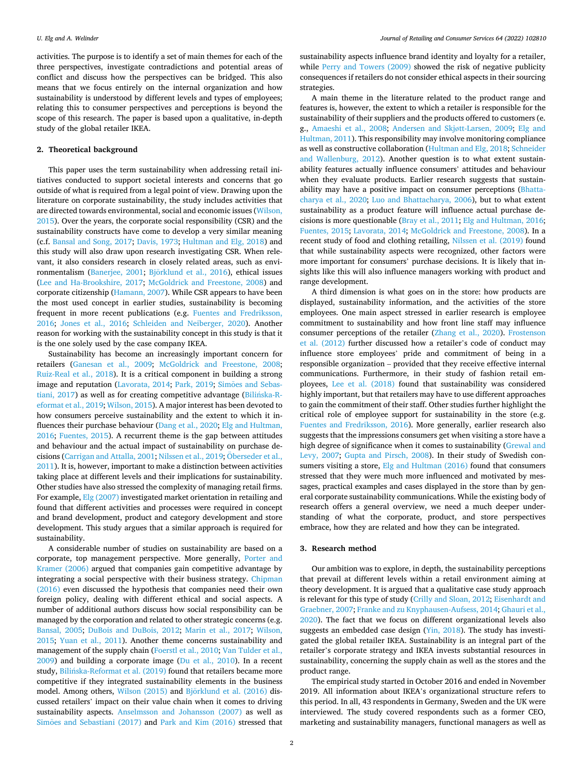activities. The purpose is to identify a set of main themes for each of the three perspectives, investigate contradictions and potential areas of conflict and discuss how the perspectives can be bridged. This also means that we focus entirely on the internal organization and how sustainability is understood by different levels and types of employees; relating this to consumer perspectives and perceptions is beyond the scope of this research. The paper is based upon a qualitative, in-depth study of the global retailer IKEA.

### **2. Theoretical background**

This paper uses the term sustainability when addressing retail initiatives conducted to support societal interests and concerns that go outside of what is required from a legal point of view. Drawing upon the literature on corporate sustainability, the study includes activities that are directed towards environmental, social and economic issues [\(Wilson,](#page-7-0)  [2015\)](#page-7-0). Over the years, the corporate social responsibility (CSR) and the sustainability constructs have come to develop a very similar meaning (c.f. [Bansal and Song, 2017](#page-7-0); [Davis, 1973](#page-7-0); [Hultman and Elg, 2018](#page-7-0)) and this study will also draw upon research investigating CSR. When relevant, it also considers research in closely related areas, such as envi-ronmentalism ([Banerjee, 2001;](#page-7-0) Björklund [et al., 2016\)](#page-7-0), ethical issues ([Lee and Ha-Brookshire, 2017](#page-7-0); [McGoldrick and Freestone, 2008](#page-7-0)) and corporate citizenship [\(Hamann, 2007](#page-7-0)). While CSR appears to have been the most used concept in earlier studies, sustainability is becoming frequent in more recent publications (e.g. [Fuentes and Fredriksson,](#page-7-0)  [2016;](#page-7-0) [Jones et al., 2016;](#page-7-0) [Schleiden and Neiberger, 2020\)](#page-7-0). Another reason for working with the sustainability concept in this study is that it is the one solely used by the case company IKEA.

Sustainability has become an increasingly important concern for retailers ([Ganesan et al., 2009](#page-7-0); [McGoldrick and Freestone, 2008](#page-7-0); [Ruiz-Real et al., 2018\)](#page-7-0). It is a critical component in building a strong image and reputation [\(Lavorata, 2014;](#page-7-0) [Park, 2019;](#page-7-0) Simões [and Sebas](#page-7-0)[tiani, 2017\)](#page-7-0) as well as for creating competitive advantage (Bilińska-R[eformat et al., 2019; Wilson, 2015\)](#page-7-0). A major interest has been devoted to how consumers perceive sustainability and the extent to which it influences their purchase behaviour [\(Dang et al., 2020](#page-7-0); [Elg and Hultman,](#page-7-0)  [2016;](#page-7-0) [Fuentes, 2015\)](#page-7-0). A recurrent theme is the gap between attitudes and behaviour and the actual impact of sustainability on purchase de-cisions [\(Carrigan and Attalla, 2001](#page-7-0); [Nilssen et al., 2019](#page-7-0); Öberseder et al., [2011\)](#page-7-0). It is, however, important to make a distinction between activities taking place at different levels and their implications for sustainability. Other studies have also stressed the complexity of managing retail firms. For example, [Elg \(2007\)](#page-7-0) investigated market orientation in retailing and found that different activities and processes were required in concept and brand development, product and category development and store development. This study argues that a similar approach is required for sustainability.

A considerable number of studies on sustainability are based on a corporate, top management perspective. More generally, [Porter and](#page-7-0)  [Kramer \(2006\)](#page-7-0) argued that companies gain competitive advantage by integrating a social perspective with their business strategy. [Chipman](#page-7-0)  [\(2016\)](#page-7-0) even discussed the hypothesis that companies need their own foreign policy, dealing with different ethical and social aspects. A number of additional authors discuss how social responsibility can be managed by the corporation and related to other strategic concerns (e.g. [Bansal, 2005](#page-7-0); [DuBois and DuBois, 2012;](#page-7-0) [Marin et al., 2017](#page-7-0); [Wilson,](#page-7-0)  [2015;](#page-7-0) [Yuan et al., 2011\)](#page-7-0). Another theme concerns sustainability and management of the supply chain [\(Foerstl et al., 2010](#page-7-0); [Van Tulder et al.,](#page-7-0)  [2009\)](#page-7-0) and building a corporate image ([Du et al., 2010\)](#page-7-0). In a recent study, Bilińska-Reformat et al. (2019) found that retailers became more competitive if they integrated sustainability elements in the business model. Among others, [Wilson \(2015\)](#page-7-0) and Björklund [et al. \(2016\)](#page-7-0) discussed retailers' impact on their value chain when it comes to driving sustainability aspects. [Anselmsson and Johansson \(2007\)](#page-7-0) as well as Simões [and Sebastiani \(2017\)](#page-7-0) and [Park and Kim \(2016\)](#page-7-0) stressed that sustainability aspects influence brand identity and loyalty for a retailer, while [Perry and Towers \(2009\)](#page-7-0) showed the risk of negative publicity consequences if retailers do not consider ethical aspects in their sourcing strategies.

A main theme in the literature related to the product range and features is, however, the extent to which a retailer is responsible for the sustainability of their suppliers and the products offered to customers (e. g., [Amaeshi et al., 2008](#page-7-0); [Andersen and Skj](#page-7-0)øtt-Larsen, 2009; [Elg and](#page-7-0)  [Hultman, 2011](#page-7-0)). This responsibility may involve monitoring compliance as well as constructive collaboration ([Hultman and Elg, 2018; Schneider](#page-7-0)  [and Wallenburg, 2012](#page-7-0)). Another question is to what extent sustainability features actually influence consumers' attitudes and behaviour when they evaluate products. Earlier research suggests that sustainability may have a positive impact on consumer perceptions [\(Bhatta](#page-7-0)[charya et al., 2020;](#page-7-0) [Luo and Bhattacharya, 2006](#page-7-0)), but to what extent sustainability as a product feature will influence actual purchase decisions is more questionable ([Bray et al., 2011; Elg and Hultman, 2016](#page-7-0); [Fuentes, 2015](#page-7-0); [Lavorata, 2014;](#page-7-0) [McGoldrick and Freestone, 2008\)](#page-7-0). In a recent study of food and clothing retailing, [Nilssen et al. \(2019\)](#page-7-0) found that while sustainability aspects were recognized, other factors were more important for consumers' purchase decisions. It is likely that insights like this will also influence managers working with product and range development.

A third dimension is what goes on in the store: how products are displayed, sustainability information, and the activities of the store employees. One main aspect stressed in earlier research is employee commitment to sustainability and how front line staff may influence consumer perceptions of the retailer [\(Zhang et al., 2020](#page-7-0)). [Frostenson](#page-7-0)  [et al. \(2012\)](#page-7-0) further discussed how a retailer's code of conduct may influence store employees' pride and commitment of being in a responsible organization – provided that they receive effective internal communications. Furthermore, in their study of fashion retail employees, [Lee et al. \(2018\)](#page-7-0) found that sustainability was considered highly important, but that retailers may have to use different approaches to gain the commitment of their staff. Other studies further highlight the critical role of employee support for sustainability in the store (e.g. [Fuentes and Fredriksson, 2016](#page-7-0)). More generally, earlier research also suggests that the impressions consumers get when visiting a store have a high degree of significance when it comes to sustainability [\(Grewal and](#page-7-0)  [Levy, 2007;](#page-7-0) [Gupta and Pirsch, 2008](#page-7-0)). In their study of Swedish con-sumers visiting a store, [Elg and Hultman \(2016\)](#page-7-0) found that consumers stressed that they were much more influenced and motivated by messages, practical examples and cases displayed in the store than by general corporate sustainability communications. While the existing body of research offers a general overview, we need a much deeper understanding of what the corporate, product, and store perspectives embrace, how they are related and how they can be integrated.

#### **3. Research method**

Our ambition was to explore, in depth, the sustainability perceptions that prevail at different levels within a retail environment aiming at theory development. It is argued that a qualitative case study approach is relevant for this type of study [\(Crilly and Sloan, 2012; Eisenhardt and](#page-7-0)  [Graebner, 2007](#page-7-0); [Franke and zu Knyphausen-Aufsess, 2014; Ghauri et al.,](#page-7-0)  [2020\)](#page-7-0). The fact that we focus on different organizational levels also suggests an embedded case design ([Yin, 2018\)](#page-7-0). The study has investigated the global retailer IKEA. Sustainability is an integral part of the retailer's corporate strategy and IKEA invests substantial resources in sustainability, concerning the supply chain as well as the stores and the product range.

The empirical study started in October 2016 and ended in November 2019. All information about IKEA's organizational structure refers to this period. In all, 43 respondents in Germany, Sweden and the UK were interviewed. The study covered respondents such as a former CEO, marketing and sustainability managers, functional managers as well as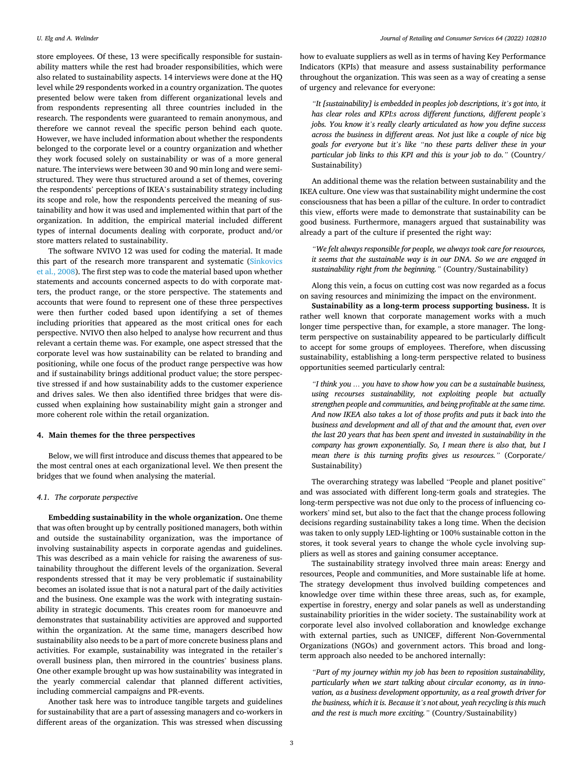store employees. Of these, 13 were specifically responsible for sustainability matters while the rest had broader responsibilities, which were also related to sustainability aspects. 14 interviews were done at the HQ level while 29 respondents worked in a country organization. The quotes presented below were taken from different organizational levels and from respondents representing all three countries included in the research. The respondents were guaranteed to remain anonymous, and therefore we cannot reveal the specific person behind each quote. However, we have included information about whether the respondents belonged to the corporate level or a country organization and whether they work focused solely on sustainability or was of a more general nature. The interviews were between 30 and 90 min long and were semistructured. They were thus structured around a set of themes, covering the respondents' perceptions of IKEA's sustainability strategy including its scope and role, how the respondents perceived the meaning of sustainability and how it was used and implemented within that part of the organization. In addition, the empirical material included different types of internal documents dealing with corporate, product and/or store matters related to sustainability.

The software NVIVO 12 was used for coding the material. It made this part of the research more transparent and systematic [\(Sinkovics](#page-7-0)  [et al., 2008\)](#page-7-0). The first step was to code the material based upon whether statements and accounts concerned aspects to do with corporate matters, the product range, or the store perspective. The statements and accounts that were found to represent one of these three perspectives were then further coded based upon identifying a set of themes including priorities that appeared as the most critical ones for each perspective. NVIVO then also helped to analyse how recurrent and thus relevant a certain theme was. For example, one aspect stressed that the corporate level was how sustainability can be related to branding and positioning, while one focus of the product range perspective was how and if sustainability brings additional product value; the store perspective stressed if and how sustainability adds to the customer experience and drives sales. We then also identified three bridges that were discussed when explaining how sustainability might gain a stronger and more coherent role within the retail organization.

#### **4. Main themes for the three perspectives**

Below, we will first introduce and discuss themes that appeared to be the most central ones at each organizational level. We then present the bridges that we found when analysing the material.

### *4.1. The corporate perspective*

**Embedding sustainability in the whole organization.** One theme that was often brought up by centrally positioned managers, both within and outside the sustainability organization, was the importance of involving sustainability aspects in corporate agendas and guidelines. This was described as a main vehicle for raising the awareness of sustainability throughout the different levels of the organization. Several respondents stressed that it may be very problematic if sustainability becomes an isolated issue that is not a natural part of the daily activities and the business. One example was the work with integrating sustainability in strategic documents. This creates room for manoeuvre and demonstrates that sustainability activities are approved and supported within the organization. At the same time, managers described how sustainability also needs to be a part of more concrete business plans and activities. For example, sustainability was integrated in the retailer's overall business plan, then mirrored in the countries' business plans. One other example brought up was how sustainability was integrated in the yearly commercial calendar that planned different activities, including commercial campaigns and PR-events.

Another task here was to introduce tangible targets and guidelines for sustainability that are a part of assessing managers and co-workers in different areas of the organization. This was stressed when discussing how to evaluate suppliers as well as in terms of having Key Performance Indicators (KPIs) that measure and assess sustainability performance throughout the organization. This was seen as a way of creating a sense of urgency and relevance for everyone:

*"It [sustainability] is embedded in peoples job descriptions, it's got into, it has clear roles and KPI:s across different functions, different people's jobs. You know it's really clearly articulated as how you define success across the business in different areas. Not just like a couple of nice big goals for everyone but it's like "no these parts deliver these in your particular job links to this KPI and this is your job to do."* (Country/ Sustainability)

An additional theme was the relation between sustainability and the IKEA culture. One view was that sustainability might undermine the cost consciousness that has been a pillar of the culture. In order to contradict this view, efforts were made to demonstrate that sustainability can be good business. Furthermore, managers argued that sustainability was already a part of the culture if presented the right way:

*"We felt always responsible for people, we always took care for resources, it seems that the sustainable way is in our DNA. So we are engaged in sustainability right from the beginning."* (Country/Sustainability)

Along this vein, a focus on cutting cost was now regarded as a focus on saving resources and minimizing the impact on the environment.

**Sustainability as a long-term process supporting business.** It is rather well known that corporate management works with a much longer time perspective than, for example, a store manager. The longterm perspective on sustainability appeared to be particularly difficult to accept for some groups of employees. Therefore, when discussing sustainability, establishing a long-term perspective related to business opportunities seemed particularly central:

*"I think you … you have to show how you can be a sustainable business, using recourses sustainability, not exploiting people but actually strengthen people and communities, and being profitable at the same time. And now IKEA also takes a lot of those profits and puts it back into the business and development and all of that and the amount that, even over the last 20 years that has been spent and invested in sustainability in the company has grown exponentially. So, I mean there is also that, but I mean there is this turning profits gives us resources."* (Corporate/ Sustainability)

The overarching strategy was labelled "People and planet positive" and was associated with different long-term goals and strategies. The long-term perspective was not due only to the process of influencing coworkers' mind set, but also to the fact that the change process following decisions regarding sustainability takes a long time. When the decision was taken to only supply LED-lighting or 100% sustainable cotton in the stores, it took several years to change the whole cycle involving suppliers as well as stores and gaining consumer acceptance.

The sustainability strategy involved three main areas: Energy and resources, People and communities, and More sustainable life at home. The strategy development thus involved building competences and knowledge over time within these three areas, such as, for example, expertise in forestry, energy and solar panels as well as understanding sustainability priorities in the wider society. The sustainability work at corporate level also involved collaboration and knowledge exchange with external parties, such as UNICEF, different Non-Governmental Organizations (NGOs) and government actors. This broad and longterm approach also needed to be anchored internally:

*"Part of my journey within my job has been to reposition sustainability, particularly when we start talking about circular economy, as in innovation, as a business development opportunity, as a real growth driver for the business, which it is. Because it's not about, yeah recycling is this much and the rest is much more exciting."* (Country/Sustainability)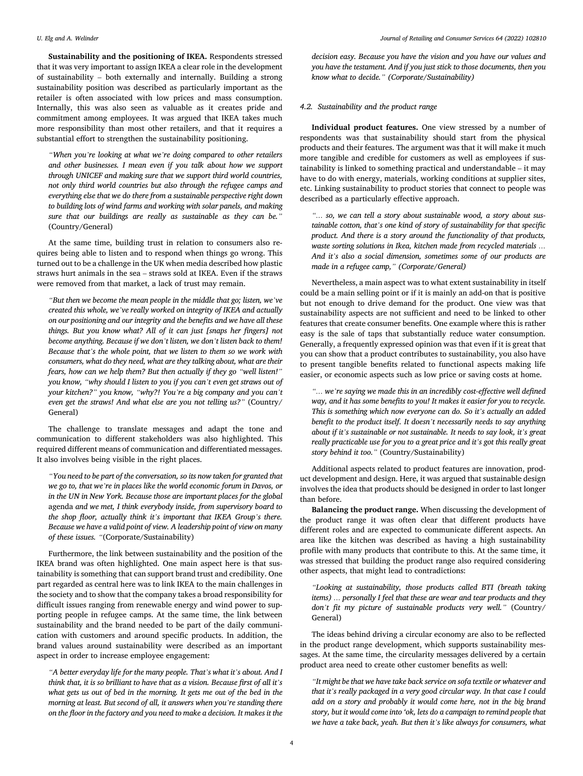**Sustainability and the positioning of IKEA.** Respondents stressed that it was very important to assign IKEA a clear role in the development of sustainability – both externally and internally. Building a strong sustainability position was described as particularly important as the retailer is often associated with low prices and mass consumption. Internally, this was also seen as valuable as it creates pride and commitment among employees. It was argued that IKEA takes much more responsibility than most other retailers, and that it requires a substantial effort to strengthen the sustainability positioning.

*"When you're looking at what we're doing compared to other retailers and other businesses. I mean even if you talk about how we support through UNICEF and making sure that we support third world countries, not only third world countries but also through the refugee camps and everything else that we do there from a sustainable perspective right down to building lots of wind farms and working with solar panels, and making sure that our buildings are really as sustainable as they can be."*  (Country/General)

At the same time, building trust in relation to consumers also requires being able to listen and to respond when things go wrong. This turned out to be a challenge in the UK when media described how plastic straws hurt animals in the sea – straws sold at IKEA. Even if the straws were removed from that market, a lack of trust may remain.

*"But then we become the mean people in the middle that go; listen, we've created this whole, we've really worked on integrity of IKEA and actually on our positioning and our integrity and the benefits and we have all these things. But you know what? All of it can just [snaps her fingers] not become anything. Because if we don't listen, we don't listen back to them! Because that's the whole point, that we listen to them so we work with consumers, what do they need, what are they talking about, what are their fears, how can we help them? But then actually if they go "well listen!" you know, "why should I listen to you if you can't even get straws out of your kitchen?" you know, "why?! You're a big company and you can't even get the straws! And what else are you not telling us?"* (Country/ General)

The challenge to translate messages and adapt the tone and communication to different stakeholders was also highlighted. This required different means of communication and differentiated messages. It also involves being visible in the right places.

*"You need to be part of the conversation, so its now taken for granted that we go to, that we're in places like the world economic forum in Davos, or in the UN in New York. Because those are important places for the global*  agenda *and we met, I think everybody inside, from supervisory board to the shop floor, actually think it's important that IKEA Group's there. Because we have a valid point of view. A leadership point of view on many of these issues. "*(Corporate/Sustainability)

Furthermore, the link between sustainability and the position of the IKEA brand was often highlighted. One main aspect here is that sustainability is something that can support brand trust and credibility. One part regarded as central here was to link IKEA to the main challenges in the society and to show that the company takes a broad responsibility for difficult issues ranging from renewable energy and wind power to supporting people in refugee camps. At the same time, the link between sustainability and the brand needed to be part of the daily communication with customers and around specific products. In addition, the brand values around sustainability were described as an important aspect in order to increase employee engagement:

*"A better everyday life for the many people. That's what it's about. And I think that, it is so brilliant to have that as a vision. Because first of all it's*  what gets us out of bed in the morning. It gets me out of the bed in the *morning at least. But second of all, it answers when you're standing there on the floor in the factory and you need to make a decision. It makes it the* 

*decision easy. Because you have the vision and you have our values and you have the testament. And if you just stick to those documents, then you know what to decide." (Corporate/Sustainability)* 

#### *4.2. Sustainability and the product range*

**Individual product features.** One view stressed by a number of respondents was that sustainability should start from the physical products and their features. The argument was that it will make it much more tangible and credible for customers as well as employees if sustainability is linked to something practical and understandable – it may have to do with energy, materials, working conditions at supplier sites, etc. Linking sustainability to product stories that connect to people was described as a particularly effective approach.

*"… so, we can tell a story about sustainable wood, a story about sustainable cotton, that's one kind of story of sustainability for that specific product. And there is a story around the functionality of that products, waste sorting solutions in Ikea, kitchen made from recycled materials … And it's also a social dimension, sometimes some of our products are made in a refugee camp," (Corporate/General)* 

Nevertheless, a main aspect was to what extent sustainability in itself could be a main selling point or if it is mainly an add-on that is positive but not enough to drive demand for the product. One view was that sustainability aspects are not sufficient and need to be linked to other features that create consumer benefits. One example where this is rather easy is the sale of taps that substantially reduce water consumption. Generally, a frequently expressed opinion was that even if it is great that you can show that a product contributes to sustainability, you also have to present tangible benefits related to functional aspects making life easier, or economic aspects such as low price or saving costs at home.

*"… we're saying we made this in an incredibly cost-effective well defined way, and it has some benefits to you! It makes it easier for you to recycle. This is something which now everyone can do. So it's actually an added benefit to the product itself. It doesn't necessarily needs to say anything about if it's sustainable or not sustainable. It needs to say look, it's great really practicable use for you to a great price and it's got this really great story behind it too."* (Country/Sustainability)

Additional aspects related to product features are innovation, product development and design. Here, it was argued that sustainable design involves the idea that products should be designed in order to last longer than before.

**Balancing the product range.** When discussing the development of the product range it was often clear that different products have different roles and are expected to communicate different aspects. An area like the kitchen was described as having a high sustainability profile with many products that contribute to this. At the same time, it was stressed that building the product range also required considering other aspects, that might lead to contradictions:

*"Looking at sustainability, those products called BTI (breath taking items) … personally I feel that these are wear and tear products and they don't fit my picture of sustainable products very well."* (Country/ General)

The ideas behind driving a circular economy are also to be reflected in the product range development, which supports sustainability messages. At the same time, the circularity messages delivered by a certain product area need to create other customer benefits as well:

*"It might be that we have take back service on sofa textile or whatever and that it's really packaged in a very good circular way. In that case I could add on a story and probably it would come here, not in the big brand story, but it would come into 'ok, lets do a campaign to remind people that we have a take back, yeah. But then it's like always for consumers, what*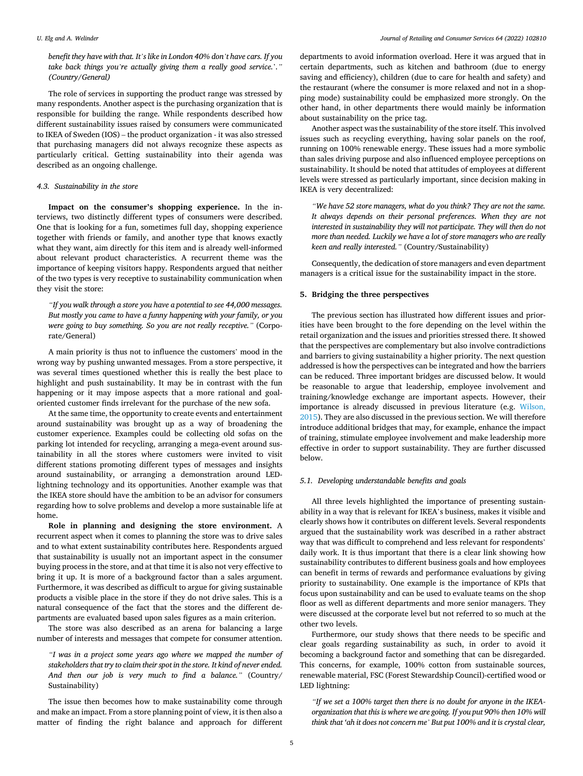#### *U. Elg and A. Welinder*

*benefit they have with that. It's like in London 40% don't have cars. If you take back things you're actually giving them a really good service.*'*." (Country/General)* 

The role of services in supporting the product range was stressed by many respondents. Another aspect is the purchasing organization that is responsible for building the range. While respondents described how different sustainability issues raised by consumers were communicated to IKEA of Sweden (IOS) – the product organization - it was also stressed that purchasing managers did not always recognize these aspects as particularly critical. Getting sustainability into their agenda was described as an ongoing challenge.

#### *4.3. Sustainability in the store*

**Impact on the consumer's shopping experience.** In the interviews, two distinctly different types of consumers were described. One that is looking for a fun, sometimes full day, shopping experience together with friends or family, and another type that knows exactly what they want, aim directly for this item and is already well-informed about relevant product characteristics. A recurrent theme was the importance of keeping visitors happy. Respondents argued that neither of the two types is very receptive to sustainability communication when they visit the store:

*"If you walk through a store you have a potential to see 44,000 messages. But mostly you came to have a funny happening with your family, or you were going to buy something. So you are not really receptive."* (Corporate/General)

A main priority is thus not to influence the customers' mood in the wrong way by pushing unwanted messages. From a store perspective, it was several times questioned whether this is really the best place to highlight and push sustainability. It may be in contrast with the fun happening or it may impose aspects that a more rational and goaloriented customer finds irrelevant for the purchase of the new sofa.

At the same time, the opportunity to create events and entertainment around sustainability was brought up as a way of broadening the customer experience. Examples could be collecting old sofas on the parking lot intended for recycling, arranging a mega-event around sustainability in all the stores where customers were invited to visit different stations promoting different types of messages and insights around sustainability, or arranging a demonstration around LEDlightning technology and its opportunities. Another example was that the IKEA store should have the ambition to be an advisor for consumers regarding how to solve problems and develop a more sustainable life at home.

**Role in planning and designing the store environment.** A recurrent aspect when it comes to planning the store was to drive sales and to what extent sustainability contributes here. Respondents argued that sustainability is usually not an important aspect in the consumer buying process in the store, and at that time it is also not very effective to bring it up. It is more of a background factor than a sales argument. Furthermore, it was described as difficult to argue for giving sustainable products a visible place in the store if they do not drive sales. This is a natural consequence of the fact that the stores and the different departments are evaluated based upon sales figures as a main criterion.

The store was also described as an arena for balancing a large number of interests and messages that compete for consumer attention.

*"I was in a project some years ago where we mapped the number of stakeholders that try to claim their spot in the store. It kind of never ended. And then our job is very much to find a balance."* (Country/ Sustainability)

The issue then becomes how to make sustainability come through and make an impact. From a store planning point of view, it is then also a matter of finding the right balance and approach for different departments to avoid information overload. Here it was argued that in certain departments, such as kitchen and bathroom (due to energy saving and efficiency), children (due to care for health and safety) and the restaurant (where the consumer is more relaxed and not in a shopping mode) sustainability could be emphasized more strongly. On the other hand, in other departments there would mainly be information about sustainability on the price tag.

Another aspect was the sustainability of the store itself. This involved issues such as recycling everything, having solar panels on the roof, running on 100% renewable energy. These issues had a more symbolic than sales driving purpose and also influenced employee perceptions on sustainability. It should be noted that attitudes of employees at different levels were stressed as particularly important, since decision making in IKEA is very decentralized:

*"We have 52 store managers, what do you think? They are not the same. It always depends on their personal preferences. When they are not interested in sustainability they will not participate. They will then do not more than needed. Luckily we have a lot of store managers who are really keen and really interested."* (Country/Sustainability)

Consequently, the dedication of store managers and even department managers is a critical issue for the sustainability impact in the store.

#### **5. Bridging the three perspectives**

The previous section has illustrated how different issues and priorities have been brought to the fore depending on the level within the retail organization and the issues and priorities stressed there. It showed that the perspectives are complementary but also involve contradictions and barriers to giving sustainability a higher priority. The next question addressed is how the perspectives can be integrated and how the barriers can be reduced. Three important bridges are discussed below. It would be reasonable to argue that leadership, employee involvement and training/knowledge exchange are important aspects. However, their importance is already discussed in previous literature (e.g. [Wilson,](#page-7-0)  [2015\)](#page-7-0). They are also discussed in the previous section. We will therefore introduce additional bridges that may, for example, enhance the impact of training, stimulate employee involvement and make leadership more effective in order to support sustainability. They are further discussed below.

#### *5.1. Developing understandable benefits and goals*

All three levels highlighted the importance of presenting sustainability in a way that is relevant for IKEA's business, makes it visible and clearly shows how it contributes on different levels. Several respondents argued that the sustainability work was described in a rather abstract way that was difficult to comprehend and less relevant for respondents' daily work. It is thus important that there is a clear link showing how sustainability contributes to different business goals and how employees can benefit in terms of rewards and performance evaluations by giving priority to sustainability. One example is the importance of KPIs that focus upon sustainability and can be used to evaluate teams on the shop floor as well as different departments and more senior managers. They were discussed at the corporate level but not referred to so much at the other two levels.

Furthermore, our study shows that there needs to be specific and clear goals regarding sustainability as such, in order to avoid it becoming a background factor and something that can be disregarded. This concerns, for example, 100% cotton from sustainable sources, renewable material, FSC (Forest Stewardship Council)-certified wood or LED lightning:

*"If we set a 100% target then there is no doubt for anyone in the IKEAorganization that this is where we are going. If you put 90% then 10% will think that 'ah it does not concern me' But put 100% and it is crystal clear,*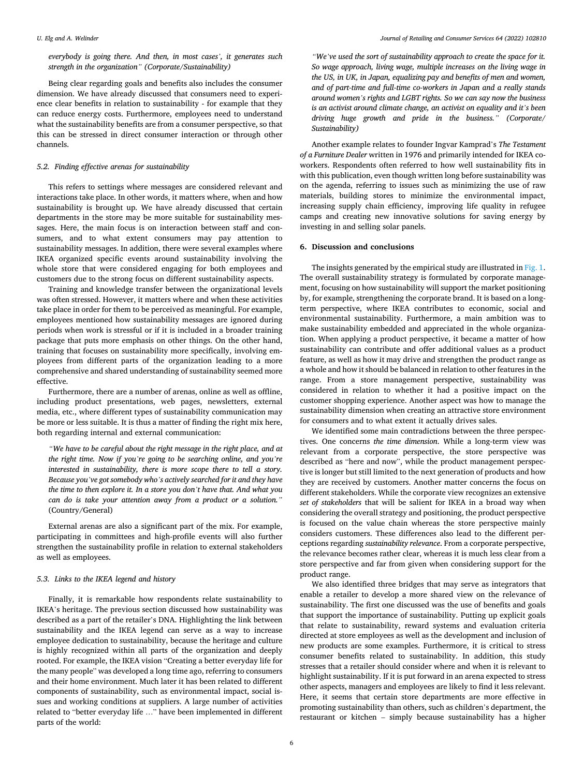*everybody is going there. And then, in most cases', it generates such strength in the organization" (Corporate/Sustainability)* 

Being clear regarding goals and benefits also includes the consumer dimension. We have already discussed that consumers need to experience clear benefits in relation to sustainability - for example that they can reduce energy costs. Furthermore, employees need to understand what the sustainability benefits are from a consumer perspective, so that this can be stressed in direct consumer interaction or through other channels.

#### *5.2. Finding effective arenas for sustainability*

This refers to settings where messages are considered relevant and interactions take place. In other words, it matters where, when and how sustainability is brought up. We have already discussed that certain departments in the store may be more suitable for sustainability messages. Here, the main focus is on interaction between staff and consumers, and to what extent consumers may pay attention to sustainability messages. In addition, there were several examples where IKEA organized specific events around sustainability involving the whole store that were considered engaging for both employees and customers due to the strong focus on different sustainability aspects.

Training and knowledge transfer between the organizational levels was often stressed. However, it matters where and when these activities take place in order for them to be perceived as meaningful. For example, employees mentioned how sustainability messages are ignored during periods when work is stressful or if it is included in a broader training package that puts more emphasis on other things. On the other hand, training that focuses on sustainability more specifically, involving employees from different parts of the organization leading to a more comprehensive and shared understanding of sustainability seemed more effective.

Furthermore, there are a number of arenas, online as well as offline, including product presentations, web pages, newsletters, external media, etc., where different types of sustainability communication may be more or less suitable. It is thus a matter of finding the right mix here, both regarding internal and external communication:

*"We have to be careful about the right message in the right place, and at the right time. Now if you're going to be searching online, and you're interested in sustainability, there is more scope there to tell a story. Because you've got somebody who's actively searched for it and they have the time to then explore it. In a store you don't have that. And what you can do is take your attention away from a product or a solution."*  (Country/General)

External arenas are also a significant part of the mix. For example, participating in committees and high-profile events will also further strengthen the sustainability profile in relation to external stakeholders as well as employees.

#### *5.3. Links to the IKEA legend and history*

Finally, it is remarkable how respondents relate sustainability to IKEA's heritage. The previous section discussed how sustainability was described as a part of the retailer's DNA. Highlighting the link between sustainability and the IKEA legend can serve as a way to increase employee dedication to sustainability, because the heritage and culture is highly recognized within all parts of the organization and deeply rooted. For example, the IKEA vision "Creating a better everyday life for the many people" was developed a long time ago, referring to consumers and their home environment. Much later it has been related to different components of sustainability, such as environmental impact, social issues and working conditions at suppliers. A large number of activities related to "better everyday life …" have been implemented in different parts of the world:

*"We've used the sort of sustainability approach to create the space for it. So wage approach, living wage, multiple increases on the living wage in the US, in UK, in Japan, equalizing pay and benefits of men and women, and of part-time and full-time co-workers in Japan and a really stands around women's rights and LGBT rights. So we can say now the business is an activist around climate change, an activist on equality and it's been driving huge growth and pride in the business." (Corporate/ Sustainability)* 

Another example relates to founder Ingvar Kamprad's *The Testament of a Furniture Dealer* written in 1976 and primarily intended for IKEA coworkers. Respondents often referred to how well sustainability fits in with this publication, even though written long before sustainability was on the agenda, referring to issues such as minimizing the use of raw materials, building stores to minimize the environmental impact, increasing supply chain efficiency, improving life quality in refugee camps and creating new innovative solutions for saving energy by investing in and selling solar panels.

#### **6. Discussion and conclusions**

The insights generated by the empirical study are illustrated in [Fig. 1](#page-6-0). The overall sustainability strategy is formulated by corporate management, focusing on how sustainability will support the market positioning by, for example, strengthening the corporate brand. It is based on a longterm perspective, where IKEA contributes to economic, social and environmental sustainability. Furthermore, a main ambition was to make sustainability embedded and appreciated in the whole organization. When applying a product perspective, it became a matter of how sustainability can contribute and offer additional values as a product feature, as well as how it may drive and strengthen the product range as a whole and how it should be balanced in relation to other features in the range. From a store management perspective, sustainability was considered in relation to whether it had a positive impact on the customer shopping experience. Another aspect was how to manage the sustainability dimension when creating an attractive store environment for consumers and to what extent it actually drives sales.

We identified some main contradictions between the three perspectives. One concerns *the time dimension*. While a long-term view was relevant from a corporate perspective, the store perspective was described as "here and now", while the product management perspective is longer but still limited to the next generation of products and how they are received by customers. Another matter concerns the focus on different stakeholders. While the corporate view recognizes an extensive *set of stakeholders* that will be salient for IKEA in a broad way when considering the overall strategy and positioning, the product perspective is focused on the value chain whereas the store perspective mainly considers customers. These differences also lead to the different perceptions regarding *sustainability relevance*. From a corporate perspective, the relevance becomes rather clear, whereas it is much less clear from a store perspective and far from given when considering support for the product range.

We also identified three bridges that may serve as integrators that enable a retailer to develop a more shared view on the relevance of sustainability. The first one discussed was the use of benefits and goals that support the importance of sustainability. Putting up explicit goals that relate to sustainability, reward systems and evaluation criteria directed at store employees as well as the development and inclusion of new products are some examples. Furthermore, it is critical to stress consumer benefits related to sustainability. In addition, this study stresses that a retailer should consider where and when it is relevant to highlight sustainability. If it is put forward in an arena expected to stress other aspects, managers and employees are likely to find it less relevant. Here, it seems that certain store departments are more effective in promoting sustainability than others, such as children's department, the restaurant or kitchen – simply because sustainability has a higher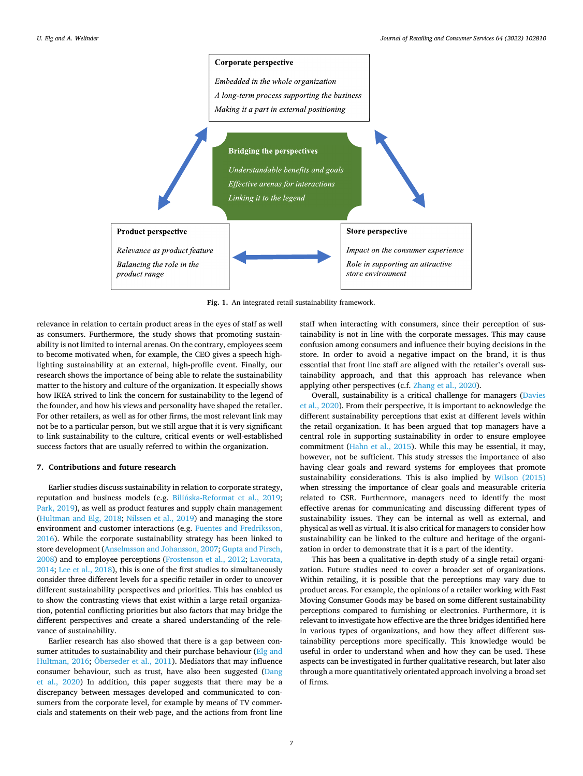<span id="page-6-0"></span>

**Fig. 1.** An integrated retail sustainability framework.

relevance in relation to certain product areas in the eyes of staff as well as consumers. Furthermore, the study shows that promoting sustainability is not limited to internal arenas. On the contrary, employees seem to become motivated when, for example, the CEO gives a speech highlighting sustainability at an external, high-profile event. Finally, our research shows the importance of being able to relate the sustainability matter to the history and culture of the organization. It especially shows how IKEA strived to link the concern for sustainability to the legend of the founder, and how his views and personality have shaped the retailer. For other retailers, as well as for other firms, the most relevant link may not be to a particular person, but we still argue that it is very significant to link sustainability to the culture, critical events or well-established success factors that are usually referred to within the organization.

#### **7. Contributions and future research**

Earlier studies discuss sustainability in relation to corporate strategy, reputation and business models (e.g. Bilińska-Reformat et al., 2019; [Park, 2019](#page-7-0)), as well as product features and supply chain management ([Hultman and Elg, 2018](#page-7-0); [Nilssen et al., 2019](#page-7-0)) and managing the store environment and customer interactions (e.g. [Fuentes and Fredriksson,](#page-7-0)  [2016\)](#page-7-0). While the corporate sustainability strategy has been linked to store development ([Anselmsson and Johansson, 2007](#page-7-0); [Gupta and Pirsch,](#page-7-0)  [2008\)](#page-7-0) and to employee perceptions [\(Frostenson et al., 2012;](#page-7-0) [Lavorata,](#page-7-0)  [2014; Lee et al., 2018\)](#page-7-0), this is one of the first studies to simultaneously consider three different levels for a specific retailer in order to uncover different sustainability perspectives and priorities. This has enabled us to show the contrasting views that exist within a large retail organization, potential conflicting priorities but also factors that may bridge the different perspectives and create a shared understanding of the relevance of sustainability.

Earlier research has also showed that there is a gap between consumer attitudes to sustainability and their purchase behaviour  $(Elg and)$ [Hultman, 2016](#page-7-0); Oberseder [et al., 2011\)](#page-7-0). Mediators that may influence consumer behaviour, such as trust, have also been suggested [\(Dang](#page-7-0)  [et al., 2020\)](#page-7-0) In addition, this paper suggests that there may be a discrepancy between messages developed and communicated to consumers from the corporate level, for example by means of TV commercials and statements on their web page, and the actions from front line staff when interacting with consumers, since their perception of sustainability is not in line with the corporate messages. This may cause confusion among consumers and influence their buying decisions in the store. In order to avoid a negative impact on the brand, it is thus essential that front line staff are aligned with the retailer's overall sustainability approach, and that this approach has relevance when applying other perspectives (c.f. [Zhang et al., 2020\)](#page-7-0).

Overall, sustainability is a critical challenge for managers [\(Davies](#page-7-0)  [et al., 2020](#page-7-0)). From their perspective, it is important to acknowledge the different sustainability perceptions that exist at different levels within the retail organization. It has been argued that top managers have a central role in supporting sustainability in order to ensure employee commitment [\(Hahn et al., 2015](#page-7-0)). While this may be essential, it may, however, not be sufficient. This study stresses the importance of also having clear goals and reward systems for employees that promote sustainability considerations. This is also implied by [Wilson \(2015\)](#page-7-0)  when stressing the importance of clear goals and measurable criteria related to CSR. Furthermore, managers need to identify the most effective arenas for communicating and discussing different types of sustainability issues. They can be internal as well as external, and physical as well as virtual. It is also critical for managers to consider how sustainability can be linked to the culture and heritage of the organization in order to demonstrate that it is a part of the identity.

This has been a qualitative in-depth study of a single retail organization. Future studies need to cover a broader set of organizations. Within retailing, it is possible that the perceptions may vary due to product areas. For example, the opinions of a retailer working with Fast Moving Consumer Goods may be based on some different sustainability perceptions compared to furnishing or electronics. Furthermore, it is relevant to investigate how effective are the three bridges identified here in various types of organizations, and how they affect different sustainability perceptions more specifically. This knowledge would be useful in order to understand when and how they can be used. These aspects can be investigated in further qualitative research, but later also through a more quantitatively orientated approach involving a broad set of firms.